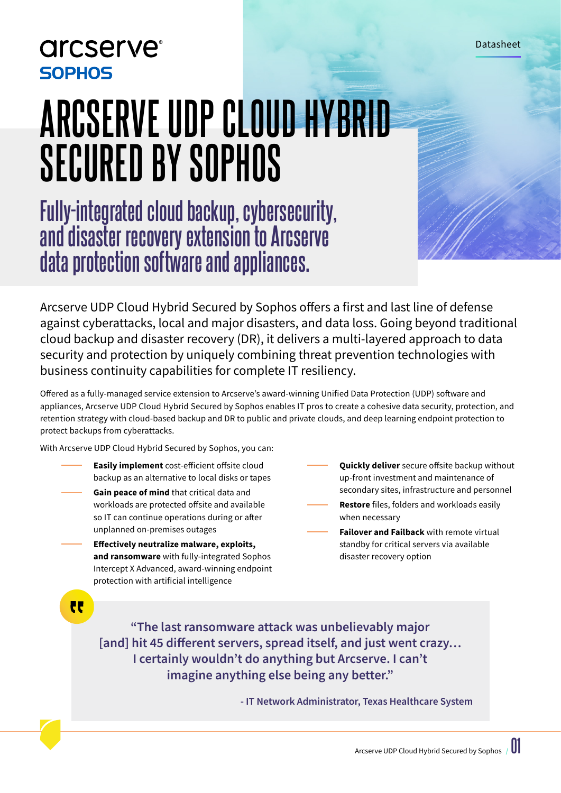**arcserve**® **SOPHOS** 

# **ARCSERVE UDP CLOUD HYBRID SECURED BY SOPHOS**

**Fully-integrated cloud backup, cybersecurity, and disaster recovery extension to Arcserve data protection software and appliances.**

Arcserve UDP Cloud Hybrid Secured by Sophos offers a first and last line of defense against cyberattacks, local and major disasters, and data loss. Going beyond traditional cloud backup and disaster recovery (DR), it delivers a multi-layered approach to data security and protection by uniquely combining threat prevention technologies with business continuity capabilities for complete IT resiliency.

Offered as a fully-managed service extension to Arcserve's award-winning Unified Data Protection (UDP) software and appliances, Arcserve UDP Cloud Hybrid Secured by Sophos enables IT pros to create a cohesive data security, protection, and retention strategy with cloud-based backup and DR to public and private clouds, and deep learning endpoint protection to protect backups from cyberattacks.

With Arcserve UDP Cloud Hybrid Secured by Sophos, you can:

- **Easily implement** cost-efficient offsite cloud backup as an alternative to local disks or tapes
	- **Gain peace of mind** that critical data and workloads are protected offsite and available so IT can continue operations during or after unplanned on-premises outages
		- **Effectively neutralize malware, exploits, and ransomware** with fully-integrated Sophos Intercept X Advanced, award-winning endpoint protection with artificial intelligence
- **Quickly deliver** secure offsite backup without up-front investment and maintenance of secondary sites, infrastructure and personnel
- **Restore** files, folders and workloads easily when necessary
	- **Failover and Failback** with remote virtual standby for critical servers via available disaster recovery option

 $\overline{\mathbf{r}}$ 

**"The last ransomware attack was unbelievably major [and] hit 45 different servers, spread itself, and just went crazy… I certainly wouldn't do anything but Arcserve. I can't imagine anything else being any better."**

**- IT Network Administrator, Texas Healthcare System**